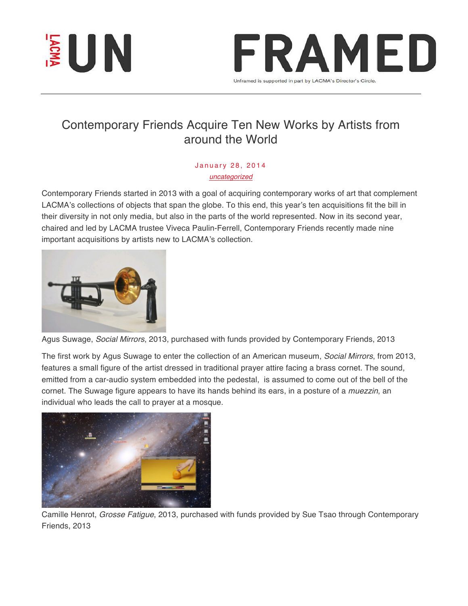



## Contemporary Friends Acquire Ten New Works by Artists from around the World

## January 28, 2014 *uncategorized*

Contemporary Friends started in 2013 with a goal of acquiring contemporary works of art that complement LACMA's collections of objects that span the globe. To this end, this year's ten acquisitions fit the bill in their diversity in not only media, but also in the parts of the world represented. Now in its second year, chaired and led by LACMA trustee Viveca Paulin-Ferrell, Contemporary Friends recently made nine important acquisitions by artists new to LACMA's collection.



Agus Suwage, *Social Mirrors*, 2013, purchased with funds provided by Contemporary Friends, 2013

The first work by Agus Suwage to enter the collection of an American museum, *Social Mirrors*, from 2013, features a small figure of the artist dressed in traditional prayer attire facing a brass cornet. The sound, emitted from a car-audio system embedded into the pedestal, is assumed to come out of the bell of the cornet. The Suwage figure appears to have its hands behind its ears, in a posture of a *muezzin*, an individual who leads the call to prayer at a mosque.



Camille Henrot, *Grosse Fatigue*, 2013, purchased with funds provided by Sue Tsao through Contemporary Friends, 2013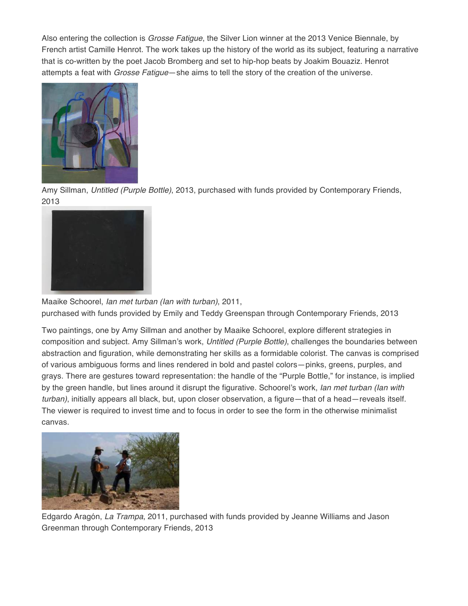Also entering the collection is *Grosse Fatigue*, the Silver Lion winner at the 2013 Venice Biennale, by French artist Camille Henrot. The work takes up the history of the world as its subject, featuring a narrative that is co-written by the poet Jacob Bromberg and set to hip-hop beats by Joakim Bouaziz. Henrot attempts a feat with *Grosse Fatigue*—she aims to tell the story of the creation of the universe.



Amy Sillman, *Untitled (Purple Bottle)*, 2013, purchased with funds provided by Contemporary Friends, 2013



Maaike Schoorel, *Ian met turban (Ian with turban)*, 2011, purchased with funds provided by Emily and Teddy Greenspan through Contemporary Friends, 2013

Two paintings, one by Amy Sillman and another by Maaike Schoorel, explore different strategies in composition and subject. Amy Sillman's work, *Untitled (Purple Bottle)*, challenges the boundaries between abstraction and figuration, while demonstrating her skills as a formidable colorist. The canvas is comprised of various ambiguous forms and lines rendered in bold and pastel colors—pinks, greens, purples, and grays. There are gestures toward representation: the handle of the "Purple Bottle," for instance, is implied by the green handle, but lines around it disrupt the figurative. Schoorel's work, *Ian met turban (Ian with turban)*, initially appears all black, but, upon closer observation, a figure—that of a head—reveals itself. The viewer is required to invest time and to focus in order to see the form in the otherwise minimalist canvas.



Edgardo Aragón, *La Trampa*, 2011, purchased with funds provided by Jeanne Williams and Jason Greenman through Contemporary Friends, 2013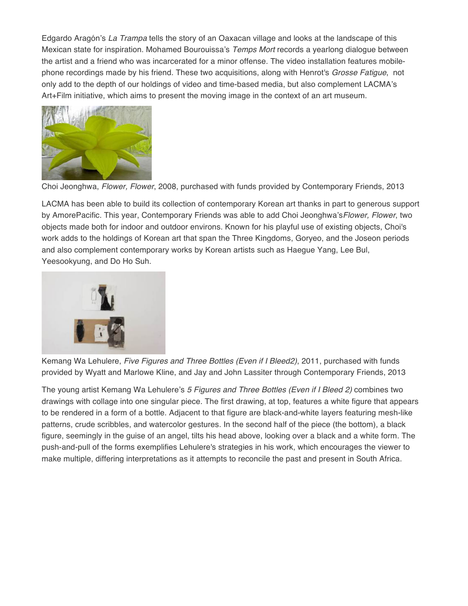Edgardo Aragón's *La Trampa* tells the story of an Oaxacan village and looks at the landscape of this Mexican state for inspiration. Mohamed Bourouissa's *Temps Mort* records a yearlong dialogue between the artist and a friend who was incarcerated for a minor offense. The video installation features mobilephone recordings made by his friend. These two acquisitions, along with Henrot's *Grosse Fatigue*, not only add to the depth of our holdings of video and time-based media, but also complement LACMA's Art+Film initiative, which aims to present the moving image in the context of an art museum.



Choi Jeonghwa, *Flower, Flower*, 2008, purchased with funds provided by Contemporary Friends, 2013

LACMA has been able to build its collection of contemporary Korean art thanks in part to generous support by AmorePacific. This year, Contemporary Friends was able to add Choi Jeonghwa's*Flower, Flower*, two objects made both for indoor and outdoor environs. Known for his playful use of existing objects, Choi's work adds to the holdings of Korean art that span the Three Kingdoms, Goryeo, and the Joseon periods and also complement contemporary works by Korean artists such as Haegue Yang, Lee Bul, Yeesookyung, and Do Ho Suh.



Kemang Wa Lehulere, *Five Figures and Three Bottles (Even if I Bleed2)*, 2011, purchased with funds provided by Wyatt and Marlowe Kline, and Jay and John Lassiter through Contemporary Friends, 2013

The young artist Kemang Wa Lehulere's *5 Figures and Three Bottles (Even if I Bleed 2)* combines two drawings with collage into one singular piece. The first drawing, at top, features a white figure that appears to be rendered in a form of a bottle. Adjacent to that figure are black-and-white layers featuring mesh-like patterns, crude scribbles, and watercolor gestures. In the second half of the piece (the bottom), a black figure, seemingly in the guise of an angel, tilts his head above, looking over a black and a white form. The push-and-pull of the forms exemplifies Lehulere's strategies in his work, which encourages the viewer to make multiple, differing interpretations as it attempts to reconcile the past and present in South Africa.